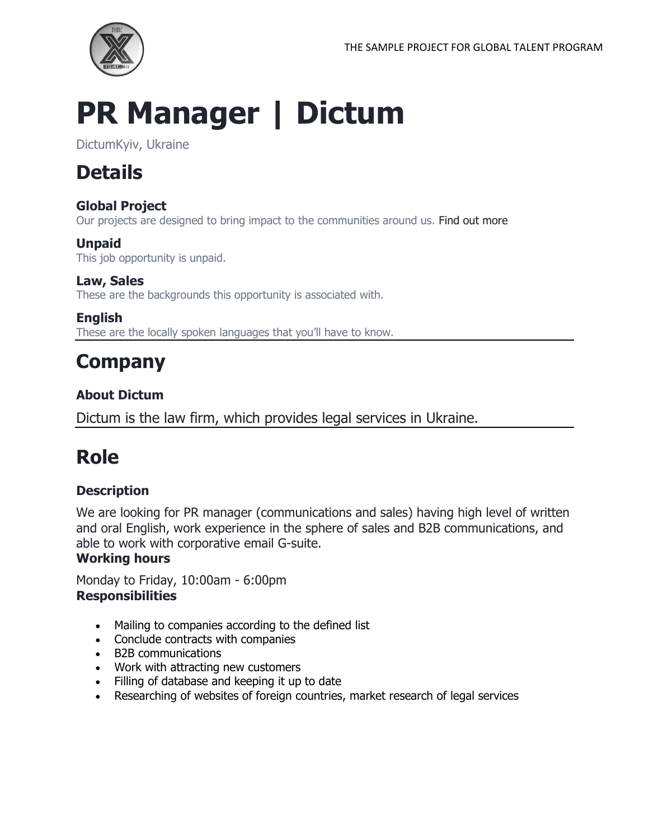

# **PR Manager | Dictum**

DictumKyiv, Ukraine

### **Details**

#### **Global Project**

Our projects are designed to bring impact to the communities around us. Find out more

#### **Unpaid**

This job opportunity is unpaid.

#### **Law, Sales**

These are the backgrounds this opportunity is associated with.

#### **English**

These are the locally spoken languages that you'll have to know.

### **Company**

#### **About Dictum**

Dictum is the law firm, which provides legal services in Ukraine.

### **Role**

#### **Description**

We are looking for PR manager (communications and sales) having high level of written and oral English, work experience in the sphere of sales and B2B communications, and able to work with corporative email G-suite.

#### **Working hours**

Monday to Friday, 10:00am - 6:00pm **Responsibilities**

- Mailing to companies according to the defined list
- Conclude contracts with companies
- B2B communications
- Work with attracting new customers
- Filling of database and keeping it up to date
- Researching of websites of foreign countries, market research of legal services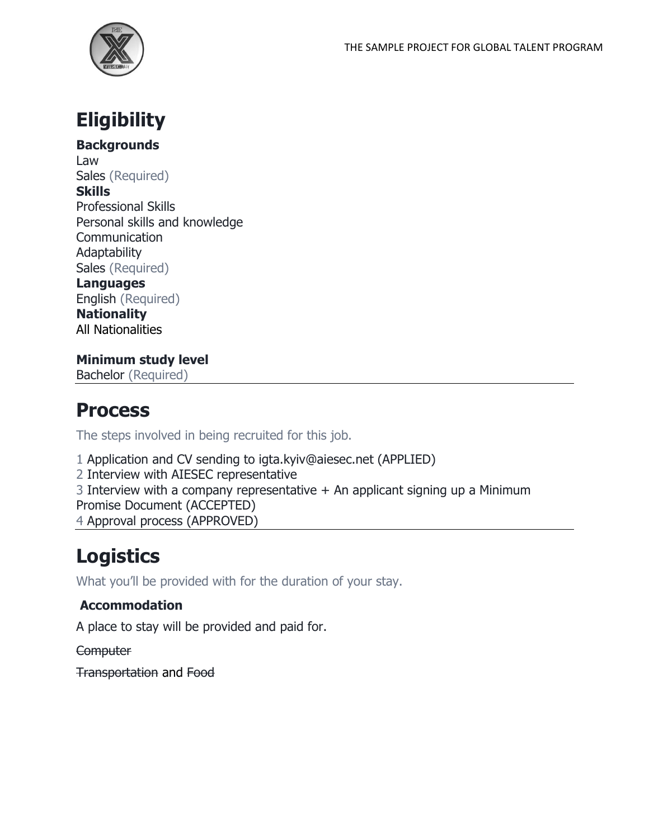

### **Eligibility**

**Backgrounds**

Law Sales (Required) **Skills** Professional Skills Personal skills and knowledge **Communication Adaptability** Sales (Required)

**Languages** English (Required)

**Nationality** All Nationalities

**Minimum study level** Bachelor (Required)

### **Process**

The steps involved in being recruited for this job.

1 Application and CV sending to igta.kyiv@aiesec.net (APPLIED)

2 Interview with AIESEC representative

3 Interview with a company representative  $+$  An applicant signing up a Minimum

Promise Document (ACCEPTED)

4 Approval process (APPROVED)

## **Logistics**

What you'll be provided with for the duration of your stay.

#### **Accommodation**

A place to stay will be provided and paid for.

**Computer** 

Transportation and Food